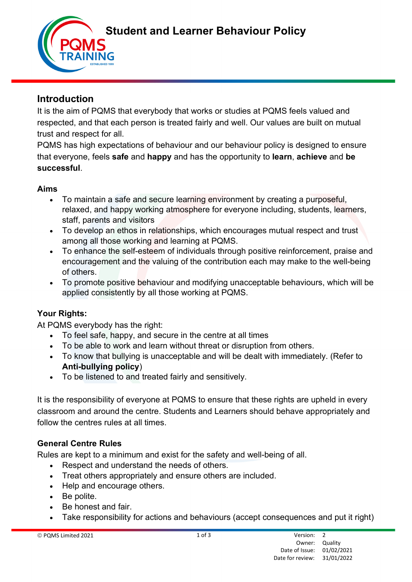Student and Learner Behaviour Policy

# Introduction

It is the aim of PQMS that everybody that works or studies at PQMS feels valued and respected, and that each person is treated fairly and well. Our values are built on mutual trust and respect for all.

PQMS has high expectations of behaviour and our behaviour policy is designed to ensure that everyone, feels safe and happy and has the opportunity to learn, achieve and be successful.

## Aims

- To maintain a safe and secure learning environment by creating a purposeful, relaxed, and happy working atmosphere for everyone including, students, learners, staff, parents and visitors
- To develop an ethos in relationships, which encourages mutual respect and trust among all those working and learning at PQMS.
- To enhance the self-esteem of individuals through positive reinforcement, praise and encouragement and the valuing of the contribution each may make to the well-being of others.
- To promote positive behaviour and modifying unacceptable behaviours, which will be applied consistently by all those working at PQMS.

# Your Rights:

At PQMS everybody has the right:

- To feel safe, happy, and secure in the centre at all times
- To be able to work and learn without threat or disruption from others.
- To know that bullying is unacceptable and will be dealt with immediately. (Refer to Anti-bullying policy)
- To be listened to and treated fairly and sensitively.

It is the responsibility of everyone at PQMS to ensure that these rights are upheld in every classroom and around the centre. Students and Learners should behave appropriately and follow the centres rules at all times.

# General Centre Rules

Rules are kept to a minimum and exist for the safety and well-being of all.

- Respect and understand the needs of others.
- Treat others appropriately and ensure others are included.
- Help and encourage others.
- Be polite.
- Be honest and fair.
- Take responsibility for actions and behaviours (accept consequences and put it right)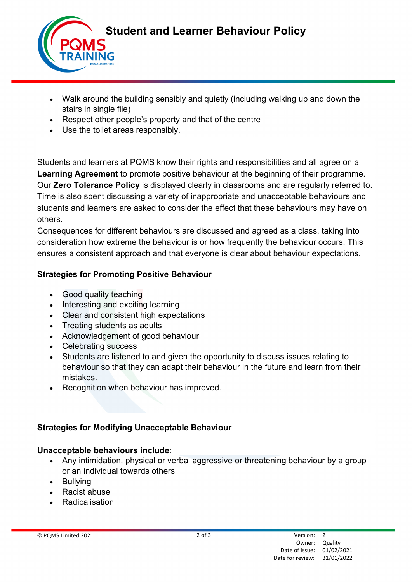

- Walk around the building sensibly and quietly (including walking up and down the stairs in single file)
- Respect other people's property and that of the centre
- Use the toilet areas responsibly.

Students and learners at PQMS know their rights and responsibilities and all agree on a Learning Agreement to promote positive behaviour at the beginning of their programme. Our Zero Tolerance Policy is displayed clearly in classrooms and are regularly referred to. Time is also spent discussing a variety of inappropriate and unacceptable behaviours and students and learners are asked to consider the effect that these behaviours may have on others.

Consequences for different behaviours are discussed and agreed as a class, taking into consideration how extreme the behaviour is or how frequently the behaviour occurs. This ensures a consistent approach and that everyone is clear about behaviour expectations.

#### Strategies for Promoting Positive Behaviour

- Good quality teaching
- Interesting and exciting learning
- Clear and consistent high expectations
- Treating students as adults
- Acknowledgement of good behaviour
- Celebrating success
- Students are listened to and given the opportunity to discuss issues relating to behaviour so that they can adapt their behaviour in the future and learn from their mistakes.
- Recognition when behaviour has improved.

## Strategies for Modifying Unacceptable Behaviour

#### Unacceptable behaviours include:

- Any intimidation, physical or verbal aggressive or threatening behaviour by a group or an individual towards others
- Bullying
- Racist abuse
- **Radicalisation**